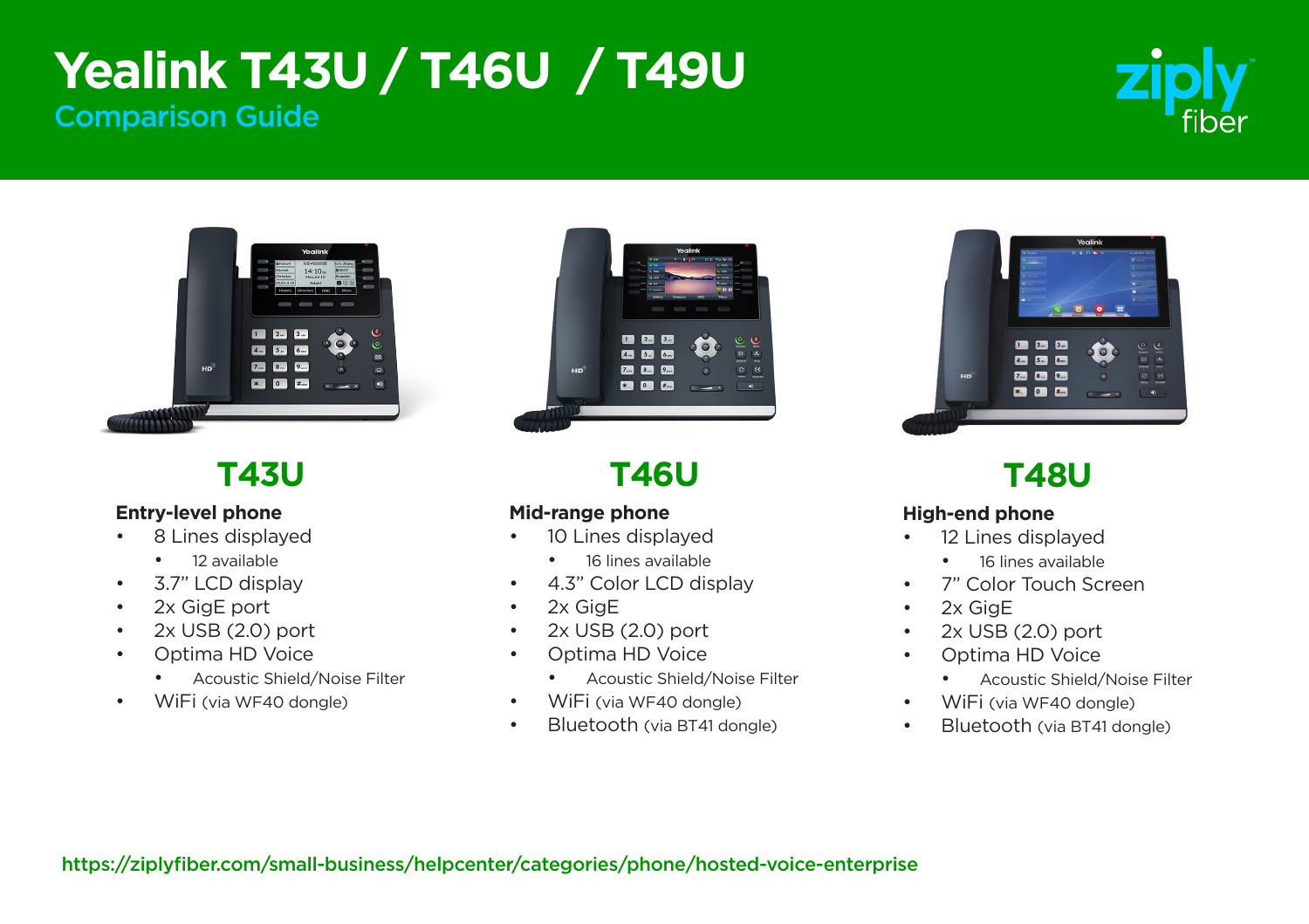## **Yealink T43U / T46U / T49U**  Comparison Guide





### **T43U**

#### **Entry-level phone**

- 8 Lines displayed
	- 12 available
- 3.7" LCD display
- 2x GigE port
- 2x USB (2.0) port
- Optima HD Voice
	- Acoustic Shield/Noise Filter
- WiFi (via WF40 dongle)



## **T46U**

#### **Mid-range phone**

- 10 Lines displayed
	- 16 lines available
- 4.3" Color LCD display
- 2x GigE
- 2x USB (2.0) port
- Optima HD Voice
	- Acoustic Shield/Noise Filter
- WiFi (via WF40 dongle)
- Bluetooth (via BT41 dongle)



## **T48U**

### **High-end phone**

- 12 Lines displayed
	- 16 lines available
- 7" Color Touch Screen
- 2x GigE
- 2x USB (2.0) port
- Optima HD Voice
	- Acoustic Shield/Noise Filter
- WiFi (via WF40 dongle)
- Bluetooth (via BT41 dongle)